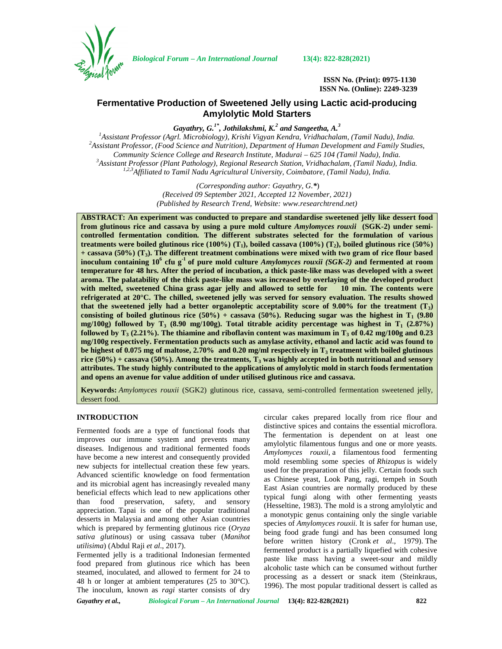

*Biological Forum – An International Journal* **13(4): 822-828(2021)**

**ISSN No. (Print): 0975-1130 ISSN No. (Online): 2249-3239**

# **Fermentative Production of Sweetened Jelly using Lactic acid-producing Amylolytic Mold Starters**

*Gayathry, G.1\*, Jothilakshmi, K.<sup>2</sup> and Sangeetha, A.<sup>3</sup>*

<sup>1</sup>Assistant Professor (Agrl. Microbiology), Krishi Vigyan Kendra, Vridhachalam, (Tamil Nadu), India.<br><sup>2</sup>Assistant Professor, (Food Science and Nutrition), Department of Human Development and Family Studies,<br>Community Scie <sup>3</sup>Assistant Professor (Plant Pathology), Regional Research Station, Vridhachalam, (Tamil Nadu), India. *1,2,3Affiliated to Tamil Nadu Agricultural University, Coimbatore, (Tamil Nadu), India.*

> *(Corresponding author: Gayathry, G.\**) *(Received 09 September 2021, Accepted 12 November, 2021) (Published by Research Trend, Website: [www.researchtrend.net\)](www.researchtrend.net)*

**ABSTRACT: An experiment was conducted to prepare and standardise sweetened jelly like dessert food from glutinous rice and cassava by using a pure mold culture** *Amylomyces rouxii* **(SGK-2) under semi controlled fermentation condition***.* **The different substrates selected for the formulation of various treatments were boiled glutinous rice (100%) (T1), boiled cassava (100%) (T2), boiled glutinous rice (50%) + cassava (50%) (T3). The different treatment combinations were mixed with two gram of rice flour based inoculum containing 10<sup>6</sup> cfu g-1 of pure mold culture** *Amylomyces rouxii (SGK-2)* **and fermented at room temperature for 48 hrs. After the period of incubation, a thick paste-like mass was developed with a sweet aroma. The palatability of the thick paste-like mass was increased by overlaying of the developed product with melted, sweetened China grass agar jelly and allowed to settle for 10 min. The contents were refrigerated at 20°C. The chilled, sweetened jelly was served for sensory evaluation. The results showed that the sweetened jelly had a better organoleptic acceptability score of 9.00% for the treatment (T3) consisting of boiled glutinous rice**  $(50%)$  **+ cassava**  $(50%)$ **. Reducing sugar was the highest in T<sub>1</sub>**  $(9.80)$ **mg/100g) followed by T<sup>3</sup> (8.90 mg/100g). Total titrable acidity percentage was highest in T<sup>1</sup> (2.87%) followed by T<sup>3</sup> (2.21%). The thiamine and riboflavin content was maximum in T<sup>3</sup> of 0.42 mg/100g and 0.23 mg/100g respectively. Fermentation products such as amylase activity, ethanol and lactic acid was found to be highest of 0.075 mg of maltose, 2.70% and 0.20 mg/ml respectively in T<sup>3</sup> treatment with boiled glutinous rice (50%) + cassava (50%). Among the treatments, T<sup>3</sup> was highly accepted in both nutritional and sensory attributes. The study highly contributed to the applications of amylolytic mold in starch foods fermentation and opens an avenue for value addition of under utilised glutinous rice and cassava.**

**Keywords:** *Amylomyces rouxii* (SGK2) glutinous rice, cassava, semi-controlled fermentation sweetened jelly, dessert food.

# **INTRODUCTION**

Fermented foods are a type of functional foods that improves our immune system and prevents many diseases. Indigenous and traditional fermented foods have become a new interest and consequently provided new subjects for intellectual creation these few years. Advanced scientific knowledge on food fermentation and its microbial agent has increasingly revealed many beneficial effects which lead to new applications other than food preservation, safety, and sensory appreciation. Tapai is one of the popular traditional desserts in Malaysia and among other Asian countries which is prepared by fermenting glutinous rice (*Oryza sativa glutinous*) or using cassava tuber (*Manihot utilisima*) (Abdul Raji *et al*., 2017).

Fermented jelly is a traditional Indonesian fermented food prepared from glutinous rice which has been steamed, inoculated, and allowed to ferment for 24 to 48 h or longer at ambient temperatures (25 to 30°C). The inoculum, known as *ragi* starter consists of dry circular cakes prepared locally from rice flour and distinctive spices and contains the essential microflora. The fermentation is dependent on at least one amylolytic filamentous fungus and one or more yeasts. *Amylomyces rouxii*, a filamentous food fermenting mold resembling some species of *Rhizopus* is widely used for the preparation of this jelly. Certain foods such as Chinese yeast, Look Pang, ragi, tempeh in South East Asian countries are normally produced by these typical fungi along with other fermenting yeasts (Hesseltine, 1983). The mold is a strong amylolytic and a monotypic genus containing only the single variable species of *Amylomyces rouxii.* It is safer for human use, being food grade fungi and has been consumed long before written history (Cronk *et al*., 1979). The fermented product is a partially liquefied with cohesive paste like mass having a sweet-sour and mildly alcoholic taste which can be consumed without further processing as a dessert or snack item (Steinkraus, 1996). The most popular traditional dessert is called as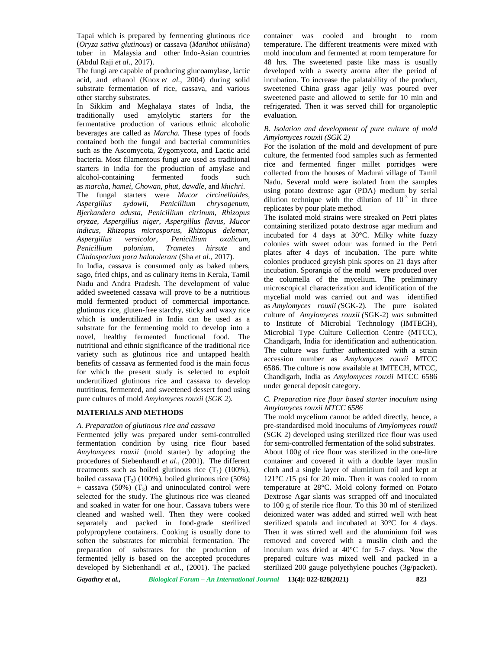Tapai which is prepared by fermenting glutinous rice (*Oryza sativa glutinous*) or cassava (*Manihot utilisima*) tuber in Malaysia and other Indo-Asian countries (Abdul Raji *et al*., 2017).

The fungi are capable of producing glucoamylase, lactic acid, and ethanol (Knox *et al.*, 2004) during solid substrate fermentation of rice, cassava, and various other starchy substrates.

In Sikkim and Meghalaya states of India, the traditionally used amylolytic starters for the fermentative production of various ethnic alcoholic beverages are called as *Marcha.* These types of foods contained both the fungal and bacterial communities such as the Ascomycota, Zygomycota, and Lactic acid bacteria. Most filamentous fungi are used as traditional starters in India for the production of amylase and alcohol-containing fermented foods such as *marcha*, *hamei*, *Chowan*, *phut*, *dawdle,* and *khichri*. The fungal starters were *Mucor circinelloides, Aspergillus sydowii, Penicillium chrysogenum, Bjerkandera adusta, Penicillium citrinum, Rhizopus oryzae, Aspergillus niger, Aspergillus flavus, Mucor indicus, Rhizopus microsporus, Rhizopus delemar, Aspergillus versicolor, Penicillium oxalicum, Penicillium polonium, Trametes hirsute* and *Cladosporium para halotolerant* (Sha *et al.,* 2017).

In India, cassava is consumed only as baked tubers, sago, fried chips, and as culinary items in Kerala, Tamil Nadu and Andra Pradesh. The development of value added sweetened cassava will prove to be a nutritious mold fermented product of commercial importance. glutinous rice, gluten-free starchy, sticky and waxy rice which is underutilized in India can be used as a substrate for the fermenting mold to develop into a novel, healthy fermented functional food. The nutritional and ethnic significance of the traditional rice variety such as glutinous rice and untapped health benefits of cassava as fermented food is the main focus for which the present study is selected to exploit underutilized glutinous rice and cassava to develop nutritious, fermented, and sweetened dessert food using pure cultures of mold *Amylomyces rouxii* (*SGK 2*)*.*

## **MATERIALS AND METHODS**

#### *A. Preparation of glutinous rice and cassava*

Fermented jelly was prepared under semi-controlled fermentation condition by using rice flour based *Amylomyces rouxii* (mold starter) by adopting the procedures of Siebenhandl *et al*., (2001). The different treatments such as boiled glutinous rice  $(T_1)$  (100%), boiled cassava  $(T_2)$  (100%), boiled glutinous rice (50%) + cassava (50%)  $(T_3)$  and uninoculated control were selected for the study. The glutinous rice was cleaned and soaked in water for one hour. Cassava tubers were cleaned and washed well. Then they were cooked separately and packed in food-grade sterilized polypropylene containers. Cooking is usually done to soften the substrates for microbial fermentation. The preparation of substrates for the production of fermented jelly is based on the accepted procedures developed by Siebenhandl *et al*., (2001). The packed

container was cooled and brought to room temperature. The different treatments were mixed with mold inoculum and fermented at room temperature for 48 hrs. The sweetened paste like mass is usually developed with a sweety aroma after the period of incubation. To increase the palatability of the product, sweetened China grass agar jelly was poured over sweetened paste and allowed to settle for 10 min and refrigerated. Then it was served chill for organoleptic evaluation.

#### *B. Isolation and development of pure culture of mold Amylomyces rouxii (SGK 2)*

For the isolation of the mold and development of pure culture, the fermented food samples such as fermented rice and fermented finger millet porridges were collected from the houses of Madurai village of Tamil Nadu. Several mold were isolated from the samples using potato dextrose agar (PDA) medium by serial dilution technique with the dilution of  $10^{-3}$  in three replicates by pour plate method.

The isolated mold strains were streaked on Petri plates containing sterilized potato dextrose agar medium and incubated for 4 days at 30°C. Milky white fuzzy colonies with sweet odour was formed in the Petri plates after 4 days of incubation. The pure white colonies produced greyish pink spores on 21 days after incubation. Sporangia of the mold were produced over the columella of the mycelium. The preliminary microscopical characterization and identification of the mycelial mold was carried out and was identified as *Amylomyces rouxii (*SGK-2)*.* The pure isolated culture of *Amylomyces rouxii (*SGK-2) *was* submitted to Institute of Microbial Technology (IMTECH), Microbial Type Culture Collection Centre (MTCC), Chandigarh, India for identification and authentication. The culture was further authenticated with a strain accession number as *Amylomyces rouxii* MTCC 6586. The culture is now available at IMTECH, MTCC, Chandigarh, India as *Amylomyces rouxii* MTCC 6586 under general deposit category.

## *C. Preparation rice flour based starter inoculum using Amylomyces rouxii MTCC 6586*

The mold mycelium cannot be added directly, hence, a pre-standardised mold inoculums of *Amylomyces rouxii* (SGK 2) developed using sterilized rice flour was used for semi-controlled fermentation of the solid substrates. About 100g of rice flour was sterilized in the one-litre container and covered it with a double layer muslin cloth and a single layer of aluminium foil and kept at 121°C /15 psi for 20 min. Then it was cooled to room temperature at 28°C. Mold colony formed on Potato Dextrose Agar slants was scrapped off and inoculated to 100 g of sterile rice flour. To this 30 ml of sterilized deionized water was added and stirred well with heat sterilized spatula and incubated at 30°C for 4 days. Then it was stirred well and the aluminium foil was removed and covered with a muslin cloth and the inoculum was dried at 40°C for 5-7 days. Now the prepared culture was mixed well and packed in a sterilized 200 gauge polyethylene pouches (3g/packet).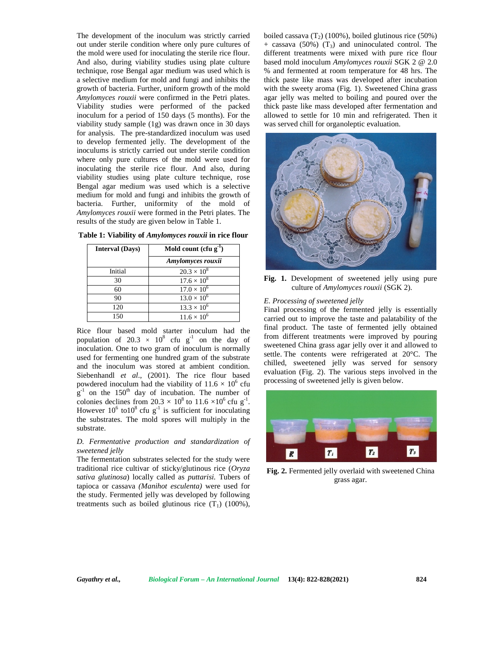The development of the inoculum was strictly carried out under sterile condition where only pure cultures of the mold were used for inoculating the sterile rice flour. And also, during viability studies using plate culture technique, rose Bengal agar medium was used which is a selective medium for mold and fungi and inhibits the growth of bacteria. Further, uniform growth of the mold *Amylomyces rouxii* were confirmed in the Petri plates. Viability studies were performed of the packed inoculum for a period of 150 days (5 months). For the viability study sample (1g) was drawn once in 30 days for analysis. The pre-standardized inoculum was used to develop fermented jelly. The development of the inoculums is strictly carried out under sterile condition where only pure cultures of the mold were used for inoculating the sterile rice flour. And also, during viability studies using plate culture technique, rose Bengal agar medium was used which is a selective medium for mold and fungi and inhibits the growth of bacteria. Further, uniformity of the mold of *Amylomyces rouxii* were formed in the Petri plates. The results of the study are given below in Table 1.

| <b>Interval (Days)</b> | Mold count $(cfu g-1)$ |  |  |
|------------------------|------------------------|--|--|
|                        | Amylomyces rouxii      |  |  |
| Initial                | $20.3 \times 10^{8}$   |  |  |
| 30                     | $17.6 \times 10^8$     |  |  |
| 60                     | $17.0 \times 10^{6}$   |  |  |
| 90                     | $13.0 \times 10^{6}$   |  |  |
| 120                    | $13.3 \times 10^{6}$   |  |  |
| 150                    | $11.6 \times 10^{6}$   |  |  |

Rice flour based mold starter inoculum had the population of 20.3  $\times$  10<sup>8</sup> cfu g<sup>-1</sup> on the day of inoculation. One to two gram of inoculum is normally used for fermenting one hundred gram of the substrate and the inoculum was stored at ambient condition. Siebenhandl *et al.*, (2001). The rice flour based powdered inoculum had the viability of  $11.6 \times 10^6$  cfu  $\mathbf{g}^{-1}$  on the 150<sup>th</sup> day of incubation. The number of colonies declines from  $20.3 \times 10^8$  to  $11.6 \times 10^6$  cfu g<sup>-1</sup>. However  $10^6$  to  $10^8$  cfu g<sup>-1</sup> is sufficient for inoculating the substrates. The mold spores will multiply in the substrate.

## *D. Fermentative production and standardization of sweetened jelly*

The fermentation substrates selected for the study were traditional rice cultivar of sticky/glutinous rice (*Oryza sativa glutinosa*) locally called as *puttarisi.* Tubers of tapioca or cassava *(Manihot esculenta)* were used for the study. Fermented jelly was developed by following treatments such as boiled glutinous rice  $(T_1)$  (100%), boiled cassava  $(T_2)$  (100%), boiled glutinous rice (50%)  $+$  cassava (50%) (T<sub>3</sub>) and uninoculated control. The different treatments were mixed with pure rice flour based mold inoculum *Amylomyces rouxii* SGK 2 @ 2.0 % and fermented at room temperature for 48 hrs. The thick paste like mass was developed after incubation with the sweety aroma (Fig. 1). Sweetened China grass agar jelly was melted to boiling and poured over the thick paste like mass developed after fermentation and allowed to settle for 10 min and refrigerated. Then it was served chill for organoleptic evaluation.



**Fig. 1.** Development of sweetened jelly using pure culture of *Amylomyces rouxii* (SGK 2).

#### *E. Processing of sweetened jelly*

Final processing of the fermented jelly is essentially carried out to improve the taste and palatability of the final product. The taste of fermented jelly obtained from different treatments were improved by pouring sweetened China grass agar jelly over it and allowed to settle. The contents were refrigerated at 20°C. The chilled, sweetened jelly was served for sensory evaluation (Fig. 2). The various steps involved in the processing of sweetened jelly is given below.



**Fig. 2.** Fermented jelly overlaid with sweetened China grass agar.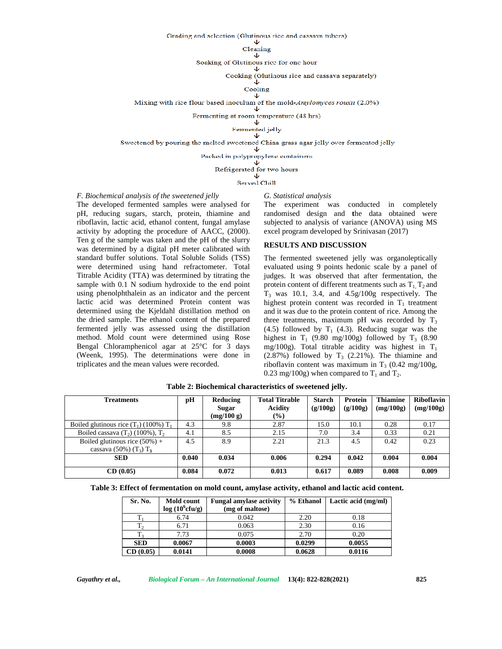Grading and selection (Glutinous rice and cassava tubers) J

#### Cleaning

 $\mathbf{L}$ Soaking of Glutinous rice for one hour

> ◡ Cooking (Glutinous rice and cassava separately)

 $\ddot{\mathbf{v}}$ 

Cooling  $\overline{\mathbf{v}}$ 

Mixing with rice flour based inoculum of the mold-Amylomyces rouxu (2.0%)  $\overline{\mathbf{v}}$ 

Fermenting at room temperature (48 hrs)  $\downarrow$ 

Fermented jelly

 $\mathbf{\Psi}$ 

Sweetened by pouring the melted sweetened China grass agar jelly over fermented jelly  $\downarrow$ 

Packed in polypropylene containers<br>  $\Downarrow$ 

Refrigerated for two hours<br>  $\overline{\mathsf{V}}$ 

Served Chill

*F. Biochemical analysis of the sweetened jelly*

The developed fermented samples were analysed for pH, reducing sugars, starch, protein, thiamine and riboflavin, lactic acid, ethanol content, fungal amylase activity by adopting the procedure of AACC, (2000). Ten g of the sample was taken and the pH of the slurry was determined by a digital pH meter calibrated with standard buffer solutions. Total Soluble Solids (TSS) were determined using hand refractometer. Total Titrable Acidity (TTA) was determined by titrating the sample with 0.1 N sodium hydroxide to the end point using phenolphthalein as an indicator and the percent lactic acid was determined Protein content was determined using the Kjeldahl distillation method on the dried sample. The ethanol content of the prepared fermented jelly was assessed using the distillation method. Mold count were determined using Rose Bengal Chloramphenicol agar at 25°C for 3 days (Weenk, 1995). The determinations were done in triplicates and the mean values were recorded.

The experiment was conducted in completely randomised design and **t**he data obtained were subjected to analysis of variance (ANOVA) using MS excel program developed by Srinivasan (2017)

#### **RESULTS AND DISCUSSION**

*G. Statistical analysis*

The fermented sweetened jelly was organoleptically evaluated using 9 points hedonic scale by a panel of judges. It was observed that after fermentation, the protein content of different treatments such as  $T_1$ ,  $T_2$  and  $T_3$  was 10.1, 3.4, and 4.5 $g/100g$  respectively. The highest protein content was recorded in  $T_1$  treatment and it was due to the protein content of rice. Among the three treatments, maximum pH was recorded by  $T_3$ (4.5) followed by  $T_1$  (4.3). Reducing sugar was the highest in  $T_1$  (9.80 mg/100g) followed by  $T_3$  (8.90 mg/100g). Total titrable acidity was highest in  $T_1$  $(2.87%)$  followed by T<sub>3</sub>  $(2.21%)$ . The thiamine and riboflavin content was maximum in  $T_3$  (0.42 mg/100g, 0.23 mg/100g) when compared to  $T_1$  and  $T_2$ .

| pH    | Reducing | <b>Total Titrable</b> | Starch            | Protein  | <b>Thiamine</b> | <b>Riboflavin</b> |
|-------|----------|-----------------------|-------------------|----------|-----------------|-------------------|
|       |          |                       |                   |          |                 | (mg/100g)         |
|       |          |                       |                   |          |                 |                   |
| 4.3   | 9.8      | 2.87                  | 15.0              | 10.1     | 0.28            | 0.17              |
| 4.1   | 8.5      | 2.15                  | 7.0               | 3.4      | 0.33            | 0.21              |
| 4.5   | 8.9      | 2.21                  | 21.3              | 4.5      | 0.42            | 0.23              |
|       |          |                       |                   |          |                 |                   |
| 0.040 | 0.034    | 0.006                 | 0.294             | 0.042    | 0.004           | 0.004             |
|       |          |                       |                   |          |                 |                   |
| 0.084 | 0.072    | 0.013                 | 0.617             | 0.089    | 0.008           | 0.009             |
|       |          | Sugar<br>(mg/100 g)   | Acidity<br>$(\%)$ | (g/100g) | (g/100g)        | (mg/100g)         |

**Table 2: Biochemical characteristics of sweetened jelly.**

| Sr. No.    | Mold count<br>$log(10^6$ cfu/g) | <b>Fungal amylase activity</b><br>(mg of maltose) | % Ethanol | Lactic acid (mg/ml) |
|------------|---------------------------------|---------------------------------------------------|-----------|---------------------|
|            | 6.74                            | 0.042                                             | 2.20      | 0.18                |
|            | 6.71                            | 0.063                                             | 2.30      | 0.16                |
|            | 7.73                            | 0.075                                             | 2.70      | 0.20                |
| <b>SED</b> | 0.0067                          | 0.0003                                            | 0.0299    | 0.0055              |
| (0.05)     | 0.0141                          | 0.0008                                            | 0.0628    | 0.0116              |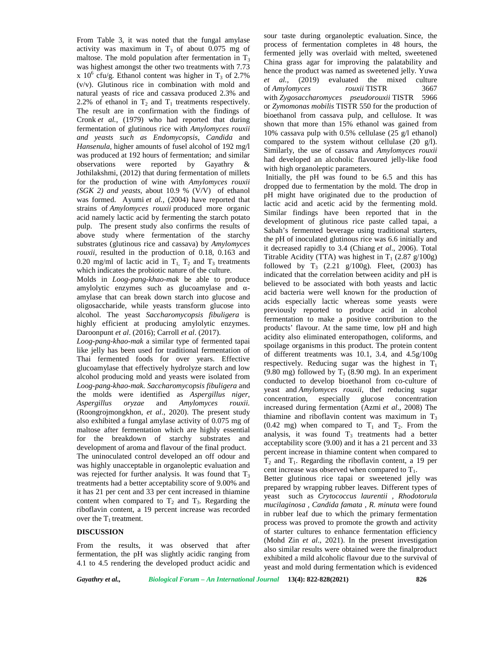From Table 3, it was noted that the fungal amylase activity was maximum in  $T_3$  of about 0.075 mg of maltose. The mold population after fermentation in  $T_3$ was highest amongst the other two treatments with 7.73 x  $10^6$  cfu/g. Ethanol content was higher in T<sub>3</sub> of 2.7% (v/v). Glutinous rice in combination with mold and natural yeasts of rice and cassava produced 2.3% and 2.2% of ethanol in  $T_2$  and  $T_1$  treatments respectively. The result are in confirmation with the findings of Cronk *et al.,* (1979) who had reported that during fermentation of glutinous rice with *Amylomyces rouxii and yeasts such as Endomycopsis*, *Candida* and *Hansenula,* higher amounts of fusel alcohol of 192 mg/l was produced at 192 hours of fermentation; and similar observations were reported by Gayathry & Jothilakshmi, (2012) that during fermentation of millets for the production of wine with *Amylomyces rouxii (SGK 2) and yeasts,* about 10.9 % (V/V) of ethanol was formed. Ayumi *et al.,* (2004) have reported that strains of *Amylomyces rouxii* produced more organic acid namely lactic acid by fermenting the starch potato pulp. The present study also confirms the results of above study where fermentation of the starchy substrates (glutinous rice and cassava) by *Amylomyces rouxii*, resulted in the production of 0.18, 0.163 and 0.20 mg/ml of lactic acid in  $T_1$ ,  $T_2$  and  $T_3$  treatments which indicates the probiotic nature of the culture.

Molds in *Loog-pang-khao-mak* be able to produce amylolytic enzymes such as glucoamylase and amylase that can break down starch into glucose and oligosaccharide, while yeasts transform glucose into alcohol. The yeast *Saccharomycopsis fibuligera* is highly efficient at producing amylolytic enzymes. Daroonpunt *et al*. (2016); Carroll *et al*. (2017).

*Loog-pang-khao-mak* a similar type of fermented tapai like jelly has been used for traditional fermentation of Thai fermented foods for over years. Effective glucoamylase that effectively hydrolyze starch and low alcohol producing mold and yeasts were isolated from *Loog-pang-khao-mak. Saccharomycopsis fibuligera* and the molds were identified as *Aspergillus niger*, *Aspergillus oryzae* and *Amylomyces rouxii.* (Roongrojmongkhon, *et al*., 2020). The present study also exhibited a fungal amylase activity of 0.075 mg of maltose after fermentation which are highly essential for the breakdown of starchy substrates and development of aroma and flavour of the final product. The uninoculated control developed an off odour and was highly unacceptable in organoleptic evaluation and was rejected for further analysis. It was found that  $T_3$ treatments had a better acceptability score of 9.00% and it has 21 per cent and 33 per cent increased in thiamine content when compared to  $T_2$  and  $T_3$ . Regarding the riboflavin content, a 19 percent increase was recorded over the  $T_1$  treatment.

# **DISCUSSION**

From the results, it was observed that after fermentation, the pH was slightly acidic ranging from 4.1 to 4.5 rendering the developed product acidic and

sour taste during organoleptic evaluation. Since, the process of fermentation completes in 48 hours, the fermented jelly was overlaid with melted, sweetened China grass agar for improving the palatability and hence the product was named as sweetened jelly. Yuwa *et al.,* (2019) evaluated the mixed culture of *Amylomyces rouxii* TISTR 3667 with *Zygosaccharomyces pseudorouxii* TISTR 5966 or *Zymomonas mobilis* TISTR 550 for the production of bioethanol from cassava pulp, and cellulose. It was shown that more than 15% ethanol was gained from 10% cassava pulp with 0.5% cellulase (25 g/l ethanol) compared to the system without cellulase (20 g/l). Similarly, the use of cassava and *Amylomyces rouxii* had developed an alcoholic flavoured jelly-like food with high organoleptic parameters.

Initially, the pH was found to be 6.5 and this has dropped due to fermentation by the mold. The drop in pH might have originated due to the production of lactic acid and acetic acid by the fermenting mold. Similar findings have been reported that in the development of glutinous rice paste called tapai, a Sabah's fermented beverage using traditional starters, the pH of inoculated glutinous rice was 6.6 initially and it decreased rapidly to 3.4 (Chiang *et al*., 2006). Total Titrable Acidity (TTA) was highest in  $T_1$  (2.87 g/100g) followed by  $T_3$  (2.21 g/100g). Fleet, (2003) has indicated that the correlation between acidity and pH is believed to be associated with both yeasts and lactic acid bacteria were well known for the production of acids especially lactic whereas some yeasts were previously reported to produce acid in alcohol fermentation to make a positive contribution to the products' flavour. At the same time, low pH and high acidity also eliminated enteropathogen, coliforms, and spoilage organisms in this product. The protein content of different treatments was 10.1, 3.4, and 4.5g/100g respectively. Reducing sugar was the highest in  $T_1$ (9.80 mg) followed by  $T_3$  (8.90 mg). In an experiment conducted to develop bioethanol from co-culture of yeast and *Amylomyces rouxii*, thef reducing sugar especially glucose concentration increased during fermentation (Azmi *et al*., 2008) The thiamine and riboflavin content was maximum in  $T_3$ (0.42 mg) when compared to  $T_1$  and  $T_2$ . From the analysis, it was found  $T_3$  treatments had a better acceptability score (9.00) and it has a 21 percent and 33 percent increase in thiamine content when compared to  $T_2$  and  $T_1$ . Regarding the riboflavin content, a 19 per cent increase was observed when compared to  $T_1$ .

Better glutinous rice tapai or sweetened jelly was prepared by wrapping rubber leaves. Different types of yeast such as *Crytococcus laurentii , Rhodotorula mucilaginosa , Candida famata , R. minuta* were found in rubber leaf due to which the primary fermentation process was proved to promote the growth and activity of starter cultures to enhance fermentation efficiency (Mohd Zin *et al*., 2021). In the present investigation also similar results were obtained were the finalproduct exhibited a mild alcoholic flavour due to the survival of yeast and mold during fermentation which is evidenced

*Gayathry et al., Biological Forum – An International Journal* **13(4): 822-828(2021) 826**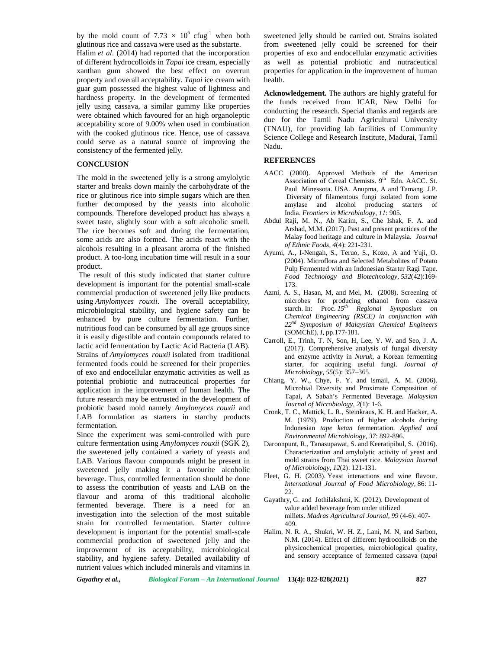by the mold count of 7.73  $\times$  10<sup>6</sup> cfug<sup>-1</sup> when both glutinous rice and cassava were used as the substarte.

Halim *et al*. (2014) had reported that the incorporation of different hydrocolloids in *Tapai* ice cream, especially xanthan gum showed the best effect on overrun property and overall acceptability. *Tapai* ice cream with guar gum possessed the highest value of lightness and hardness property. In the development of fermented jelly using cassava, a similar gummy like properties were obtained which favoured for an high organoleptic acceptability score of 9.00% when used in combination with the cooked glutinous rice. Hence, use of cassava could serve as a natural source of improving the consistency of the fermented jelly.

## **CONCLUSION**

The mold in the sweetened jelly is a strong amylolytic starter and breaks down mainly the carbohydrate of the rice or glutinous rice into simple sugars which are then further decomposed by the yeasts into alcoholic compounds. Therefore developed product has always a sweet taste, slightly sour with a soft alcoholic smell. The rice becomes soft and during the fermentation, some acids are also formed. The acids react with the alcohols resulting in a pleasant aroma of the finished product. A too-long incubation time will result in a sour product.

The result of this study indicated that starter culture development is important for the potential small-scale commercial production of sweetened jelly like products using *Amylomyces rouxii*. The overall acceptability, microbiological stability, and hygiene safety can be enhanced by pure culture fermentation. Further, nutritious food can be consumed by all age groups since it is easily digestible and contain compounds related to lactic acid fermentation by Lactic Acid Bacteria (LAB). Strains of *Amylomyces rouxii* isolated from traditional fermented foods could be screened for their properties of exo and endocellular enzymatic activities as well as potential probiotic and nutraceutical properties for application in the improvement of human health. The future research may be entrusted in the development of probiotic based mold namely *Amylomyces rouxii* and LAB formulation as starters in starchy products fermentation.

Since the experiment was semi-controlled with pure culture fermentation using *Amylomyces rouxii* (SGK 2), the sweetened jelly contained a variety of yeasts and LAB. Various flavour compounds might be present in sweetened jelly making it a favourite alcoholic beverage. Thus, controlled fermentation should be done to assess the contribution of yeasts and LAB on the flavour and aroma of this traditional alcoholic fermented beverage. There is a need for an investigation into the selection of the most suitable strain for controlled fermentation. Starter culture development is important for the potential small-scale commercial production of sweetened jelly and the improvement of its acceptability, microbiological stability, and hygiene safety. Detailed availability of nutrient values which included minerals and vitamins in

sweetened jelly should be carried out. Strains isolated from sweetened jelly could be screened for their properties of exo and endocellular enzymatic activities as well as potential probiotic and nutraceutical properties for application in the improvement of human health.

**Acknowledgement.** The authors are highly grateful for the funds received from ICAR, New Delhi for conducting the research. Special thanks and regards are due for the Tamil Nadu Agricultural University (TNAU), for providing lab facilities of Community Science College and Research Institute, Madurai, Tamil Nadu.

## **REFERENCES**

- AACC (2000). Approved Methods of the American Association of Cereal Chemists. 9<sup>th</sup> Edn. AACC. St. Paul Minessota. USA. Anupma, A and Tamang. J.P. Diversity of filamentous fungi isolated from some amylase and alcohol producing starters of India. *Frontiers in Microbiology*, *11*: 905.
- Abdul Raji, M. N., Ab Karim, S., Che Ishak, F. A. and Arshad, M.M. (2017). Past and present practices of the Malay food heritage and culture in Malaysia. *Journal of Ethnic Foods*, *4*(4): 221-231.
- Ayumi, A., I-Nengah, S., Teruo, S., Kozo, A and Yuji, O. (2004). Microflora and Selected Metabolites of Potato Pulp Fermented with an Indonesian Starter Ragi Tape. *Food Technology and Biotechnology, 532*(42):169- 173.
- Azmi, A. S., Hasan, M, and Mel, M. (2008). Screening of microbes for producing ethanol from cassava starch. In: Proc. *15th Regional Symposium on Chemical Engineering (RSCE) in conjunction with 22nd Symposium of Malaysian Chemical Engineers* (SOMChE), *I*, pp.177-181.
- Carroll, E., Trinh, T. N, Son, H, Lee, Y. W. and Seo, J. A. (2017). Comprehensive analysis of fungal diversity and enzyme activity in *Nuruk*, a Korean fermenting starter, for acquiring useful fungi. *Journal of Microbiology*, *55*(5): 357–365.
- Chiang, Y. W., Chye, F. Y. and Ismail, A. M. (2006). Microbial Diversity and Proximate Composition of Tapai, A Sabah's Fermented Beverage. *Malaysian Journal of Microbiology*, *2*(1): 1-6.
- Cronk, T. C., Mattick, L. R., Steinkraus, K. H. and Hacker, A. M. (1979). Production of higher alcohols during Indonesian *tape ketan* fermentation. *Applied and Environmental Microbiology*, *37*: 892-896.
- Daroonpunt, R., Tanasupawat, S. and Keeratipibul, S. (2016). Characterization and amylolytic activity of yeast and mold strains from Thai sweet rice. *Malaysian Journal of Microbiology*, *12*(2): 121-131.
- Fleet, G. H. (2003). Yeast interactions and wine flavour. *International Journal of Food Microbiology*, 86: 11- 22.
- Gayathry, G. and Jothilakshmi, K. (2012). Development of value added beverage from under utilized millets. *Madras Agricultural Journal*, *99* (4-6): 407- 409.
- Halim, N. R. A., Shukri, W. H. Z., Lani, M. N, and Sarbon, N.M. (2014). Effect of different hydrocolloids on the physicochemical properties, microbiological quality, and sensory acceptance of fermented cassava (*tapai*

*Gayathry et al., Biological Forum – An International Journal* **13(4): 822-828(2021) 827**